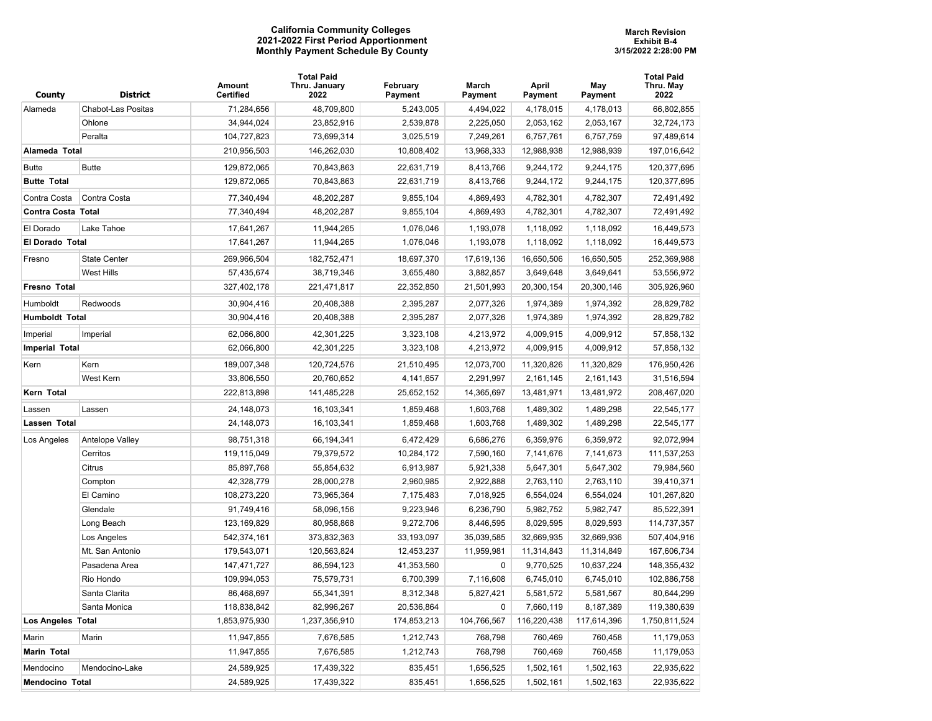## **California Community Colleges 2021-2022 First Period Apportionment Monthly Payment Schedule By County**

|                           |                     | Amount                   | <b>Total Paid</b><br>Thru. January | February               | March                  | April                  | May                    | Total Paid<br>Thru. May  |
|---------------------------|---------------------|--------------------------|------------------------------------|------------------------|------------------------|------------------------|------------------------|--------------------------|
| County                    | <b>District</b>     | <b>Certified</b>         | 2022                               | Payment                | Payment                | Payment                | Payment                | 2022                     |
| Alameda                   | Chabot-Las Positas  | 71,284,656               | 48,709,800                         | 5,243,005              | 4,494,022              | 4,178,015              | 4,178,013              | 66,802,855               |
|                           | Ohlone              | 34,944,024               | 23,852,916                         | 2,539,878              | 2,225,050              | 2,053,162              | 2,053,167              | 32,724,173               |
|                           | Peralta             | 104,727,823              | 73,699,314                         | 3,025,519              | 7,249,261              | 6,757,761              | 6,757,759              | 97,489,614               |
| Alameda Total             |                     | 210,956,503              | 146,262,030                        | 10,808,402             | 13,968,333             | 12,988,938             | 12,988,939             | 197,016,642              |
| <b>Butte</b>              | <b>Butte</b>        | 129,872,065              | 70,843,863                         | 22,631,719             | 8,413,766              | 9,244,172              | 9,244,175              | 120,377,695              |
| <b>Butte Total</b>        |                     | 129,872,065              | 70,843,863                         | 22,631,719             | 8,413,766              | 9,244,172              | 9,244,175              | 120,377,695              |
| Contra Costa              | Contra Costa        | 77,340,494               | 48,202,287                         | 9,855,104              | 4,869,493              | 4,782,301              | 4,782,307              | 72,491,492               |
| <b>Contra Costa Total</b> |                     | 77,340,494               | 48,202,287                         | 9,855,104              | 4,869,493              | 4,782,301              | 4,782,307              | 72,491,492               |
| El Dorado                 | Lake Tahoe          | 17,641,267               | 11,944,265                         | 1,076,046              | 1,193,078              | 1,118,092              | 1,118,092              | 16,449,573               |
| <b>El Dorado Total</b>    |                     | 17,641,267               | 11,944,265                         | 1,076,046              | 1,193,078              | 1,118,092              | 1,118,092              | 16,449,573               |
| Fresno                    | <b>State Center</b> | 269,966,504              | 182,752,471                        | 18,697,370             | 17,619,136             | 16,650,506             | 16,650,505             | 252,369,988              |
|                           | <b>West Hills</b>   | 57,435,674               | 38,719,346                         | 3,655,480              | 3,882,857              | 3,649,648              | 3,649,641              | 53,556,972               |
| Fresno Total              |                     | 327,402,178              | 221,471,817                        | 22,352,850             | 21,501,993             | 20,300,154             | 20,300,146             | 305,926,960              |
| Humboldt                  | Redwoods            | 30,904,416               | 20,408,388                         | 2,395,287              | 2,077,326              | 1,974,389              | 1,974,392              | 28,829,782               |
| <b>Humboldt Total</b>     |                     | 30,904,416               | 20,408,388                         | 2,395,287              | 2,077,326              | 1,974,389              | 1,974,392              | 28,829,782               |
|                           |                     |                          |                                    |                        |                        |                        |                        |                          |
| Imperial                  | Imperial            | 62,066,800<br>62,066,800 | 42,301,225<br>42,301,225           | 3,323,108<br>3,323,108 | 4,213,972<br>4,213,972 | 4,009,915<br>4,009,915 | 4,009,912<br>4,009,912 | 57,858,132<br>57,858,132 |
| <b>Imperial Total</b>     |                     |                          |                                    |                        |                        |                        |                        |                          |
| Kern                      | Kern                | 189,007,348              | 120,724,576                        | 21,510,495             | 12,073,700             | 11,320,826             | 11,320,829             | 176,950,426              |
|                           | West Kern           | 33,806,550               | 20,760,652                         | 4,141,657              | 2,291,997              | 2,161,145              | 2,161,143              | 31,516,594               |
| Kern Total                |                     | 222,813,898              | 141,485,228                        | 25,652,152             | 14,365,697             | 13,481,971             | 13,481,972             | 208,467,020              |
| Lassen                    | Lassen              | 24,148,073               | 16,103,341                         | 1,859,468              | 1,603,768              | 1,489,302              | 1,489,298              | 22,545,177               |
| Lassen Total              |                     | 24,148,073               | 16,103,341                         | 1,859,468              | 1,603,768              | 1,489,302              | 1,489,298              | 22,545,177               |
| Los Angeles               | Antelope Valley     | 98,751,318               | 66,194,341                         | 6,472,429              | 6,686,276              | 6,359,976              | 6,359,972              | 92,072,994               |
|                           | Cerritos            | 119,115,049              | 79,379,572                         | 10,284,172             | 7,590,160              | 7,141,676              | 7,141,673              | 111,537,253              |
|                           | Citrus              | 85,897,768               | 55,854,632                         | 6,913,987              | 5,921,338              | 5,647,301              | 5,647,302              | 79,984,560               |
|                           | Compton             | 42,328,779               | 28,000,278                         | 2,960,985              | 2,922,888              | 2,763,110              | 2,763,110              | 39,410,371               |
|                           | El Camino           | 108,273,220              | 73,965,364                         | 7,175,483              | 7,018,925              | 6,554,024              | 6,554,024              | 101,267,820              |
|                           | Glendale            | 91,749,416               | 58,096,156                         | 9,223,946              | 6,236,790              | 5,982,752              | 5,982,747              | 85,522,391               |
|                           | Long Beach          | 123,169,829              | 80,958,868                         | 9,272,706              | 8,446,595              | 8,029,595              | 8,029,593              | 114,737,357              |
|                           | Los Angeles         | 542,374,161              | 373,832,363                        | 33,193,097             | 35,039,585             | 32,669,935             | 32,669,936             | 507,404,916              |
|                           | Mt. San Antonio     | 179,543,071              | 120,563,824                        | 12,453,237             | 11,959,981             | 11,314,843             | 11,314,849             | 167,606,734              |
|                           | Pasadena Area       | 147,471,727              | 86,594,123                         | 41,353,560             | $\mathbf 0$            | 9,770,525              | 10,637,224             | 148,355,432              |
|                           | Rio Hondo           | 109,994,053              | 75,579,731                         | 6,700,399              | 7,116,608              | 6,745,010              | 6,745,010              | 102,886,758              |
|                           | Santa Clarita       | 86,468,697               | 55,341,391                         | 8,312,348              | 5,827,421              | 5,581,572              | 5,581,567              | 80,644,299               |
|                           | Santa Monica        | 118,838,842              | 82,996,267                         | 20,536,864             | $\mathbf 0$            | 7,660,119              | 8,187,389              | 119,380,639              |
| Los Angeles Total         |                     | 1,853,975,930            | 1,237,356,910                      | 174,853,213            | 104,766,567            | 116,220,438            | 117,614,396            | 1,750,811,524            |
| Marin                     | Marin               | 11,947,855               | 7,676,585                          | 1,212,743              | 768,798                | 760,469                | 760,458                | 11,179,053               |
| <b>Marin Total</b>        |                     | 11,947,855               | 7,676,585                          | 1,212,743              | 768,798                | 760,469                | 760,458                | 11,179,053               |
| Mendocino                 | Mendocino-Lake      | 24,589,925               | 17,439,322                         | 835,451                | 1,656,525              | 1,502,161              | 1,502,163              | 22,935,622               |
| <b>Mendocino Total</b>    |                     | 24,589,925               | 17,439,322                         | 835,451                | 1,656,525              | 1,502,161              | 1,502,163              | 22,935,622               |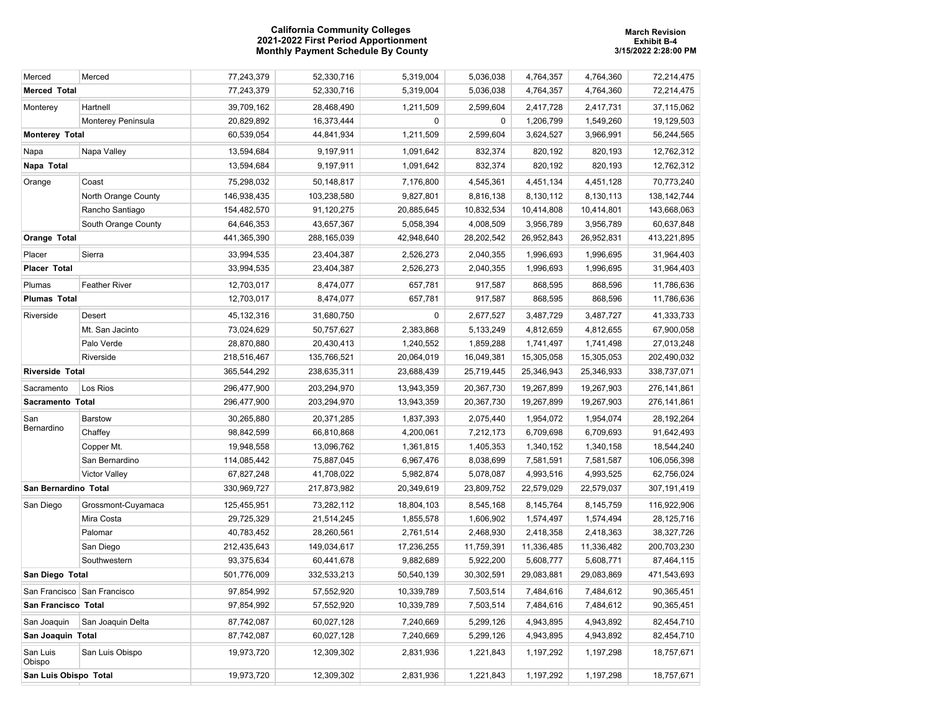## **California Community Colleges 2021-2022 First Period Apportionment Monthly Payment Schedule By County**

| Merced                      | Merced               | 77,243,379  | 52,330,716  | 5,319,004  | 5,036,038  | 4,764,357  | 4,764,360  | 72,214,475    |
|-----------------------------|----------------------|-------------|-------------|------------|------------|------------|------------|---------------|
| <b>Merced Total</b>         |                      | 77,243,379  | 52,330,716  | 5,319,004  | 5,036,038  | 4,764,357  | 4,764,360  | 72,214,475    |
| Monterey                    | Hartnell             | 39,709,162  | 28,468,490  | 1,211,509  | 2,599,604  | 2,417,728  | 2,417,731  | 37,115,062    |
|                             | Monterey Peninsula   | 20,829,892  | 16,373,444  | $\pmb{0}$  | 0          | 1,206,799  | 1,549,260  | 19,129,503    |
| <b>Monterey Total</b>       |                      | 60,539,054  | 44,841,934  | 1,211,509  | 2,599,604  | 3,624,527  | 3,966,991  | 56,244,565    |
| Napa                        | Napa Valley          | 13,594,684  | 9,197,911   | 1,091,642  | 832,374    | 820,192    | 820,193    | 12,762,312    |
| Napa Total                  |                      | 13,594,684  | 9,197,911   | 1,091,642  | 832,374    | 820,192    | 820,193    | 12,762,312    |
| Orange                      | Coast                | 75,298,032  | 50,148,817  | 7,176,800  | 4,545,361  | 4,451,134  | 4,451,128  | 70,773,240    |
|                             | North Orange County  | 146,938,435 | 103,238,580 | 9,827,801  | 8,816,138  | 8,130,112  | 8,130,113  | 138, 142, 744 |
|                             | Rancho Santiago      | 154,482,570 | 91,120,275  | 20,885,645 | 10,832,534 | 10,414,808 | 10,414,801 | 143,668,063   |
|                             | South Orange County  | 64,646,353  | 43,657,367  | 5,058,394  | 4,008,509  | 3,956,789  | 3,956,789  | 60,637,848    |
| <b>Orange Total</b>         |                      | 441,365,390 | 288,165,039 | 42,948,640 | 28,202,542 | 26,952,843 | 26,952,831 | 413,221,895   |
| Placer                      | Sierra               | 33,994,535  | 23,404,387  | 2,526,273  | 2,040,355  | 1,996,693  | 1,996,695  | 31,964,403    |
| <b>Placer Total</b>         |                      | 33,994,535  | 23,404,387  | 2,526,273  | 2,040,355  | 1,996,693  | 1,996,695  | 31,964,403    |
| Plumas                      | <b>Feather River</b> | 12,703,017  | 8,474,077   | 657,781    | 917,587    | 868,595    | 868,596    | 11,786,636    |
| <b>Plumas Total</b>         |                      | 12,703,017  | 8,474,077   | 657,781    | 917,587    | 868,595    | 868,596    | 11,786,636    |
| Riverside                   | Desert               | 45,132,316  | 31,680,750  | 0          | 2,677,527  | 3,487,729  | 3,487,727  | 41,333,733    |
|                             | Mt. San Jacinto      | 73,024,629  | 50,757,627  | 2,383,868  | 5,133,249  | 4,812,659  | 4,812,655  | 67,900,058    |
|                             | Palo Verde           | 28,870,880  | 20,430,413  | 1,240,552  | 1,859,288  | 1,741,497  | 1,741,498  | 27,013,248    |
|                             | Riverside            | 218,516,467 | 135,766,521 | 20,064,019 | 16,049,381 | 15,305,058 | 15,305,053 | 202,490,032   |
| <b>Riverside Total</b>      |                      | 365,544,292 | 238,635,311 | 23,688,439 | 25,719,445 | 25,346,943 | 25,346,933 | 338,737,071   |
| Sacramento                  | Los Rios             | 296,477,900 | 203,294,970 | 13,943,359 | 20,367,730 | 19,267,899 | 19,267,903 | 276, 141, 861 |
| Sacramento Total            |                      | 296,477,900 | 203,294,970 | 13,943,359 | 20,367,730 | 19,267,899 | 19,267,903 | 276, 141, 861 |
| San                         | <b>Barstow</b>       | 30,265,880  | 20,371,285  | 1,837,393  | 2,075,440  | 1,954,072  | 1,954,074  | 28, 192, 264  |
| Bernardino                  | Chaffey              | 98,842,599  | 66,810,868  | 4,200,061  | 7,212,173  | 6,709,698  | 6,709,693  | 91,642,493    |
|                             | Copper Mt.           | 19,948,558  | 13,096,762  | 1,361,815  | 1,405,353  | 1,340,152  | 1,340,158  | 18,544,240    |
|                             | San Bernardino       | 114,085,442 | 75,887,045  | 6,967,476  | 8,038,699  | 7,581,591  | 7,581,587  | 106,056,398   |
|                             | <b>Victor Valley</b> | 67,827,248  | 41,708,022  | 5,982,874  | 5,078,087  | 4,993,516  | 4,993,525  | 62,756,024    |
| San Bernardino Total        |                      | 330,969,727 | 217,873,982 | 20,349,619 | 23,809,752 | 22,579,029 | 22,579,037 | 307,191,419   |
| San Diego                   | Grossmont-Cuyamaca   | 125,455,951 | 73,282,112  | 18,804,103 | 8,545,168  | 8,145,764  | 8,145,759  | 116,922,906   |
|                             | Mira Costa           | 29,725,329  | 21,514,245  | 1,855,578  | 1,606,902  | 1,574,497  | 1,574,494  | 28, 125, 716  |
|                             | Palomar              | 40,783,452  | 28,260,561  | 2,761,514  | 2,468,930  | 2,418,358  | 2,418,363  | 38,327,726    |
|                             | San Diego            | 212,435,643 | 149,034,617 | 17,236,255 | 11,759,391 | 11,336,485 | 11,336,482 | 200,703,230   |
|                             | Southwestern         | 93,375,634  | 60,441,678  | 9,882,689  | 5,922,200  | 5,608,777  | 5,608,771  | 87,464,115    |
| San Diego Total             |                      | 501,776,009 | 332,533,213 | 50,540,139 | 30,302,591 | 29,083,881 | 29,083,869 | 471,543,693   |
| San Francisco San Francisco |                      | 97,854,992  | 57,552,920  | 10,339,789 | 7,503,514  | 7,484,616  | 7,484,612  | 90,365,451    |
| San Francisco Total         |                      | 97,854,992  | 57,552,920  | 10,339,789 | 7,503,514  | 7,484,616  | 7,484,612  | 90,365,451    |
| San Joaquin                 | San Joaquin Delta    | 87,742,087  | 60,027,128  | 7,240,669  | 5,299,126  | 4,943,895  | 4,943,892  | 82,454,710    |
| San Joaquin Total           |                      | 87,742,087  | 60,027,128  | 7,240,669  | 5,299,126  | 4,943,895  | 4,943,892  | 82,454,710    |
| San Luis<br>Obispo          | San Luis Obispo      | 19,973,720  | 12,309,302  | 2,831,936  | 1,221,843  | 1,197,292  | 1,197,298  | 18,757,671    |
| San Luis Obispo Total       |                      | 19,973,720  | 12,309,302  | 2,831,936  | 1,221,843  | 1,197,292  | 1,197,298  | 18,757,671    |